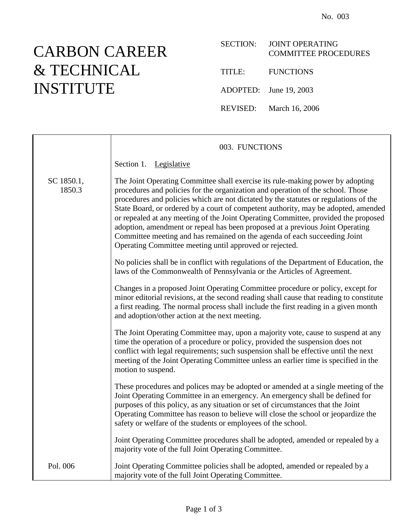## CARBON CAREER & TECHNICAL INSTITUTE

|        | SECTION: JOINT OPERATING<br><b>COMMITTEE PROCEDURES</b> |
|--------|---------------------------------------------------------|
| TITLE: | <b>FUNCTIONS</b>                                        |

ADOPTED: June 19, 2003

REVISED: March 16, 2006

|                      | 003. FUNCTIONS                                                                                                                                                                                                                                                                                                                                                                                                                                                                                                                                                                                                                                                 |
|----------------------|----------------------------------------------------------------------------------------------------------------------------------------------------------------------------------------------------------------------------------------------------------------------------------------------------------------------------------------------------------------------------------------------------------------------------------------------------------------------------------------------------------------------------------------------------------------------------------------------------------------------------------------------------------------|
|                      | Section 1. Legislative                                                                                                                                                                                                                                                                                                                                                                                                                                                                                                                                                                                                                                         |
| SC 1850.1,<br>1850.3 | The Joint Operating Committee shall exercise its rule-making power by adopting<br>procedures and policies for the organization and operation of the school. Those<br>procedures and policies which are not dictated by the statutes or regulations of the<br>State Board, or ordered by a court of competent authority, may be adopted, amended<br>or repealed at any meeting of the Joint Operating Committee, provided the proposed<br>adoption, amendment or repeal has been proposed at a previous Joint Operating<br>Committee meeting and has remained on the agenda of each succeeding Joint<br>Operating Committee meeting until approved or rejected. |
|                      | No policies shall be in conflict with regulations of the Department of Education, the<br>laws of the Commonwealth of Pennsylvania or the Articles of Agreement.                                                                                                                                                                                                                                                                                                                                                                                                                                                                                                |
|                      | Changes in a proposed Joint Operating Committee procedure or policy, except for<br>minor editorial revisions, at the second reading shall cause that reading to constitute<br>a first reading. The normal process shall include the first reading in a given month<br>and adoption/other action at the next meeting.                                                                                                                                                                                                                                                                                                                                           |
|                      | The Joint Operating Committee may, upon a majority vote, cause to suspend at any<br>time the operation of a procedure or policy, provided the suspension does not<br>conflict with legal requirements; such suspension shall be effective until the next<br>meeting of the Joint Operating Committee unless an earlier time is specified in the<br>motion to suspend.                                                                                                                                                                                                                                                                                          |
|                      | These procedures and polices may be adopted or amended at a single meeting of the<br>Joint Operating Committee in an emergency. An emergency shall be defined for<br>purposes of this policy, as any situation or set of circumstances that the Joint<br>Operating Committee has reason to believe will close the school or jeopardize the<br>safety or welfare of the students or employees of the school.                                                                                                                                                                                                                                                    |
|                      | Joint Operating Committee procedures shall be adopted, amended or repealed by a<br>majority vote of the full Joint Operating Committee.                                                                                                                                                                                                                                                                                                                                                                                                                                                                                                                        |
| Pol. 006             | Joint Operating Committee policies shall be adopted, amended or repealed by a<br>majority vote of the full Joint Operating Committee.                                                                                                                                                                                                                                                                                                                                                                                                                                                                                                                          |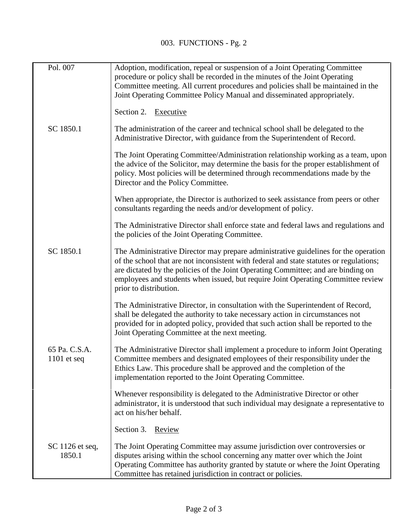| Pol. 007                       | Adoption, modification, repeal or suspension of a Joint Operating Committee<br>procedure or policy shall be recorded in the minutes of the Joint Operating<br>Committee meeting. All current procedures and policies shall be maintained in the<br>Joint Operating Committee Policy Manual and disseminated appropriately.                                                        |
|--------------------------------|-----------------------------------------------------------------------------------------------------------------------------------------------------------------------------------------------------------------------------------------------------------------------------------------------------------------------------------------------------------------------------------|
|                                | Section 2. Executive                                                                                                                                                                                                                                                                                                                                                              |
| SC 1850.1                      | The administration of the career and technical school shall be delegated to the<br>Administrative Director, with guidance from the Superintendent of Record.                                                                                                                                                                                                                      |
|                                | The Joint Operating Committee/Administration relationship working as a team, upon<br>the advice of the Solicitor, may determine the basis for the proper establishment of<br>policy. Most policies will be determined through recommendations made by the<br>Director and the Policy Committee.                                                                                   |
|                                | When appropriate, the Director is authorized to seek assistance from peers or other<br>consultants regarding the needs and/or development of policy.                                                                                                                                                                                                                              |
|                                | The Administrative Director shall enforce state and federal laws and regulations and<br>the policies of the Joint Operating Committee.                                                                                                                                                                                                                                            |
| SC 1850.1                      | The Administrative Director may prepare administrative guidelines for the operation<br>of the school that are not inconsistent with federal and state statutes or regulations;<br>are dictated by the policies of the Joint Operating Committee; and are binding on<br>employees and students when issued, but require Joint Operating Committee review<br>prior to distribution. |
|                                | The Administrative Director, in consultation with the Superintendent of Record,<br>shall be delegated the authority to take necessary action in circumstances not<br>provided for in adopted policy, provided that such action shall be reported to the<br>Joint Operating Committee at the next meeting.                                                                         |
| 65 Pa. C.S.A.<br>$1101$ et seq | The Administrative Director shall implement a procedure to inform Joint Operating<br>Committee members and designated employees of their responsibility under the<br>Ethics Law. This procedure shall be approved and the completion of the<br>implementation reported to the Joint Operating Committee.                                                                          |
|                                | Whenever responsibility is delegated to the Administrative Director or other<br>administrator, it is understood that such individual may designate a representative to<br>act on his/her behalf.                                                                                                                                                                                  |
|                                | Section 3. Review                                                                                                                                                                                                                                                                                                                                                                 |
| SC 1126 et seq,<br>1850.1      | The Joint Operating Committee may assume jurisdiction over controversies or<br>disputes arising within the school concerning any matter over which the Joint<br>Operating Committee has authority granted by statute or where the Joint Operating<br>Committee has retained jurisdiction in contract or policies.                                                                 |